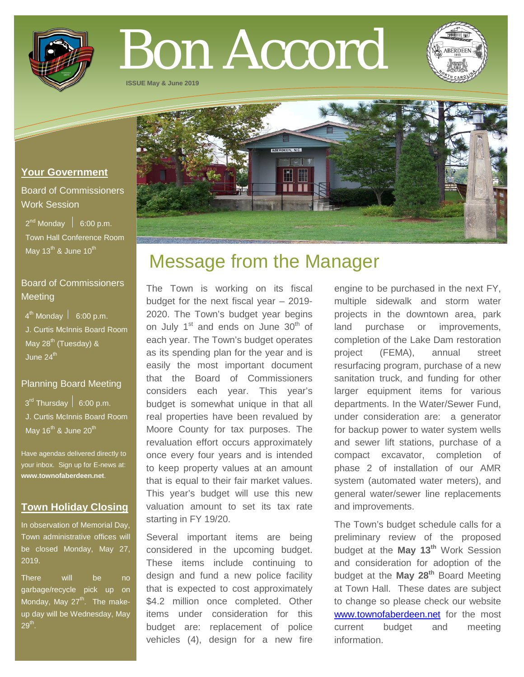

# Bon Accord

**ISSUE May & June 2019**



Board of Commissioners Work Session

 $2^{nd}$  Monday  $\left| 6:00 \text{ p.m.} \right|$  Town Hall Conference Room May  $13^{th}$  & June  $10^{th}$ 

# Board of Commissioners **Meeting**

 $4^{th}$  Monday  $\vert$  6:00 p.m. J. Curtis McInnis Board Room May 28<sup>th</sup> (Tuesday) & June  $24^{\text{th}}$ 

# Planning Board Meeting

 $3^{\text{rd}}$  Thursday  $\vert$  6:00 p.m. J. Curtis McInnis Board Room May  $16^{th}$  & June  $20^{th}$ 

Have agendas delivered directly to your inbox. Sign up for E-news at: **[www.townofaberdeen.net](http://www.townofaberdeen.net/)**.

# **Town Holiday Closing**

In observation of Memorial Day, Town administrative offices will be closed Monday, May 27, 2019.

There will garbage/recycle pick up on Monday, May  $27<sup>th</sup>$ . The makeup day will be Wednesday, May  $29^{th}$ .

# Message from the Manager

ARERDEEN N.C.

The Town is working on its fiscal budget for the next fiscal year – 2019- 2020. The Town's budget year begins on July  $1<sup>st</sup>$  and ends on June  $30<sup>th</sup>$  of each year. The Town's budget operates as its spending plan for the year and is easily the most important document that the Board of Commissioners considers each year. This year's budget is somewhat unique in that all real properties have been revalued by Moore County for tax purposes. The revaluation effort occurs approximately once every four years and is intended to keep property values at an amount that is equal to their fair market values. This year's budget will use this new valuation amount to set its tax rate starting in FY 19/20.

Several important items are being considered in the upcoming budget. These items include continuing to design and fund a new police facility that is expected to cost approximately \$4.2 million once completed. Other items under consideration for this budget are: replacement of police vehicles (4), design for a new fire

engine to be purchased in the next FY, multiple sidewalk and storm water projects in the downtown area, park land purchase or improvements, completion of the Lake Dam restoration project (FEMA), annual street resurfacing program, purchase of a new sanitation truck, and funding for other larger equipment items for various departments. In the Water/Sewer Fund, under consideration are: a generator for backup power to water system wells and sewer lift stations, purchase of a compact excavator, completion of phase 2 of installation of our AMR system (automated water meters), and general water/sewer line replacements and improvements.

The Town's budget schedule calls for a preliminary review of the proposed budget at the **May 13th** Work Session and consideration for adoption of the budget at the **May 28<sup>th</sup> Board Meeting** at Town Hall. These dates are subject to change so please check our website [www.townofaberdeen.net](http://www.townofaberdeen.net/) for the most current budget and meeting information.